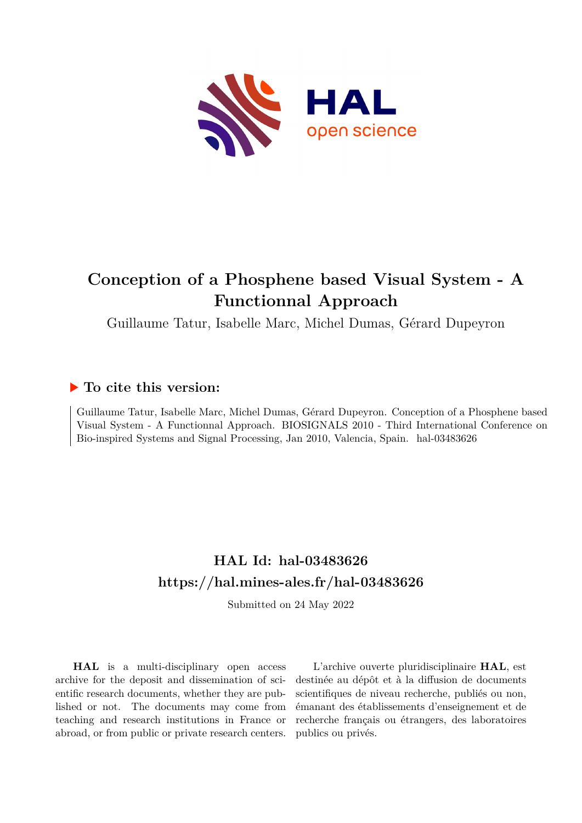

# **Conception of a Phosphene based Visual System - A Functionnal Approach**

Guillaume Tatur, Isabelle Marc, Michel Dumas, Gérard Dupeyron

## **To cite this version:**

Guillaume Tatur, Isabelle Marc, Michel Dumas, Gérard Dupeyron. Conception of a Phosphene based Visual System - A Functionnal Approach. BIOSIGNALS 2010 - Third International Conference on Bio-inspired Systems and Signal Processing, Jan 2010, Valencia, Spain. hal-03483626

# **HAL Id: hal-03483626 <https://hal.mines-ales.fr/hal-03483626>**

Submitted on 24 May 2022

**HAL** is a multi-disciplinary open access archive for the deposit and dissemination of scientific research documents, whether they are published or not. The documents may come from teaching and research institutions in France or abroad, or from public or private research centers.

L'archive ouverte pluridisciplinaire **HAL**, est destinée au dépôt et à la diffusion de documents scientifiques de niveau recherche, publiés ou non, émanant des établissements d'enseignement et de recherche français ou étrangers, des laboratoires publics ou privés.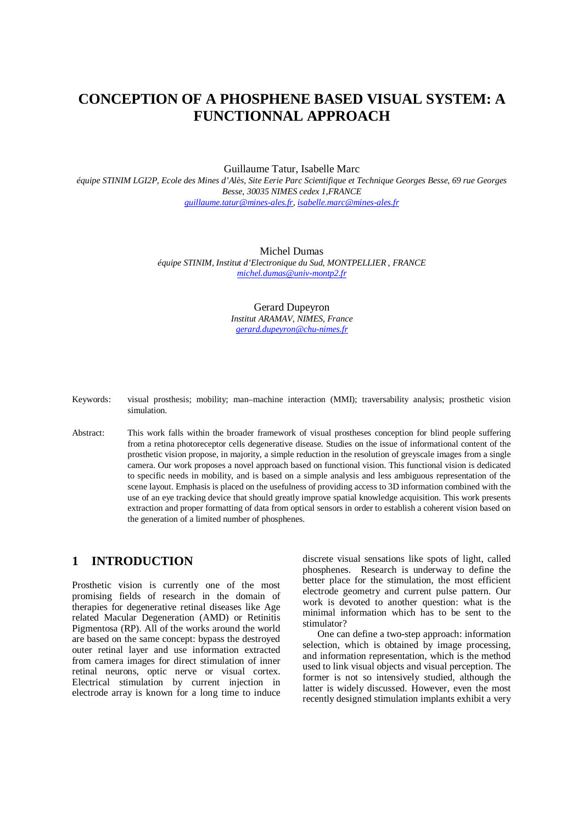## **CONCEPTION OF A PHOSPHENE BASED VISUAL SYSTEM: A FUNCTIONNAL APPROACH**

Guillaume Tatur, Isabelle Marc

*équipe STINIM LGI2P, Ecole des Mines d'Alès, Site Eerie Parc Scientifique et Technique Georges Besse, 69 rue Georges Besse, 30035 NIMES cedex 1,FRANCE guillaume.tatur@mines-ales.fr, isabelle.marc@mines-ales.fr*

> Michel Dumas *équipe STINIM, Institut d'Electronique du Sud, MONTPELLIER , FRANCE michel.dumas@univ-montp2.fr*

> > Gerard Dupeyron *Institut ARAMAV, NIMES, France gerard.dupeyron@chu-nimes.fr*

|             |  | Keywords: visual prosthesis; mobility; man–machine interaction (MMI); traversability analysis; prosthetic vision |  |  |  |
|-------------|--|------------------------------------------------------------------------------------------------------------------|--|--|--|
| simulation. |  |                                                                                                                  |  |  |  |

Abstract: This work falls within the broader framework of visual prostheses conception for blind people suffering from a retina photoreceptor cells degenerative disease. Studies on the issue of informational content of the prosthetic vision propose, in majority, a simple reduction in the resolution of greyscale images from a single camera. Our work proposes a novel approach based on functional vision. This functional vision is dedicated to specific needs in mobility, and is based on a simple analysis and less ambiguous representation of the scene layout. Emphasis is placed on the usefulness of providing access to 3D information combined with the use of an eye tracking device that should greatly improve spatial knowledge acquisition. This work presents extraction and proper formatting of data from optical sensors in order to establish a coherent vision based on the generation of a limited number of phosphenes.

#### **1 INTRODUCTION**

Prosthetic vision is currently one of the most promising fields of research in the domain of therapies for degenerative retinal diseases like Age related Macular Degeneration (AMD) or Retinitis Pigmentosa (RP). All of the works around the world are based on the same concept: bypass the destroyed outer retinal layer and use information extracted from camera images for direct stimulation of inner retinal neurons, optic nerve or visual cortex. Electrical stimulation by current injection in electrode array is known for a long time to induce

discrete visual sensations like spots of light, called phosphenes. Research is underway to define the better place for the stimulation, the most efficient electrode geometry and current pulse pattern. Our work is devoted to another question: what is the minimal information which has to be sent to the stimulator?

One can define a two-step approach: information selection, which is obtained by image processing, and information representation, which is the method used to link visual objects and visual perception. The former is not so intensively studied, although the latter is widely discussed. However, even the most recently designed stimulation implants exhibit a very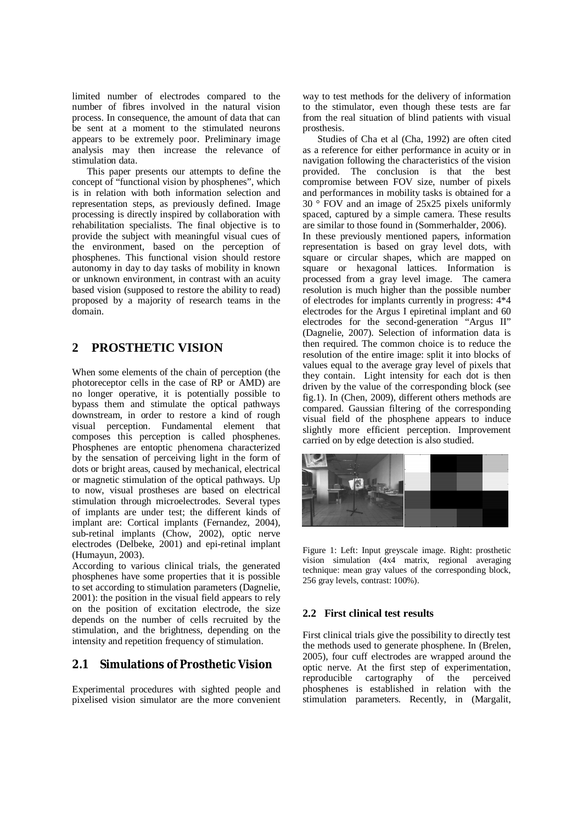limited number of electrodes compared to the number of fibres involved in the natural vision process. In consequence, the amount of data that can be sent at a moment to the stimulated neurons appears to be extremely poor. Preliminary image analysis may then increase the relevance of stimulation data.

This paper presents our attempts to define the concept of "functional vision by phosphenes", which is in relation with both information selection and representation steps, as previously defined. Image processing is directly inspired by collaboration with rehabilitation specialists. The final objective is to provide the subject with meaningful visual cues of the environment, based on the perception of phosphenes. This functional vision should restore autonomy in day to day tasks of mobility in known or unknown environment, in contrast with an acuity based vision (supposed to restore the ability to read) proposed by a majority of research teams in the domain.

## **2 PROSTHETIC VISION**

When some elements of the chain of perception (the photoreceptor cells in the case of RP or AMD) are no longer operative, it is potentially possible to bypass them and stimulate the optical pathways downstream, in order to restore a kind of rough visual perception. Fundamental element that composes this perception is called phosphenes. Phosphenes are entoptic phenomena characterized by the sensation of perceiving light in the form of dots or bright areas, caused by mechanical, electrical or magnetic stimulation of the optical pathways. Up to now, visual prostheses are based on electrical stimulation through microelectrodes. Several types of implants are under test; the different kinds of implant are: Cortical implants (Fernandez, 2004), sub-retinal implants (Chow, 2002), optic nerve electrodes (Delbeke, 2001) and epi-retinal implant (Humayun, 2003).

According to various clinical trials, the generated phosphenes have some properties that it is possible to set according to stimulation parameters (Dagnelie, 2001): the position in the visual field appears to rely on the position of excitation electrode, the size depends on the number of cells recruited by the stimulation, and the brightness, depending on the intensity and repetition frequency of stimulation.

#### **2.1 Simulations of Prosthetic Vision**

Experimental procedures with sighted people and pixelised vision simulator are the more convenient way to test methods for the delivery of information to the stimulator, even though these tests are far from the real situation of blind patients with visual prosthesis.

Studies of Cha et al (Cha, 1992) are often cited as a reference for either performance in acuity or in navigation following the characteristics of the vision provided. The conclusion is that the best compromise between FOV size, number of pixels and performances in mobility tasks is obtained for a 30 ° FOV and an image of 25x25 pixels uniformly spaced, captured by a simple camera. These results are similar to those found in (Sommerhalder, 2006). In these previously mentioned papers, information representation is based on gray level dots, with square or circular shapes, which are mapped on square or hexagonal lattices. Information is processed from a gray level image. The camera resolution is much higher than the possible number of electrodes for implants currently in progress: 4\*4 electrodes for the Argus I epiretinal implant and 60 electrodes for the second-generation "Argus II" (Dagnelie, 2007). Selection of information data is then required. The common choice is to reduce the resolution of the entire image: split it into blocks of values equal to the average gray level of pixels that they contain. Light intensity for each dot is then driven by the value of the corresponding block (see fig.1). In (Chen, 2009), different others methods are compared. Gaussian filtering of the corresponding visual field of the phosphene appears to induce slightly more efficient perception. Improvement carried on by edge detection is also studied.



Figure 1: Left: Input greyscale image. Right: prosthetic vision simulation (4x4 matrix, regional averaging technique: mean gray values of the corresponding block, 256 gray levels, contrast: 100%).

#### **2.2 First clinical test results**

First clinical trials give the possibility to directly test the methods used to generate phosphene. In (Brelen, 2005), four cuff electrodes are wrapped around the optic nerve. At the first step of experimentation, reproducible cartography of the perceived phosphenes is established in relation with the stimulation parameters. Recently, in (Margalit,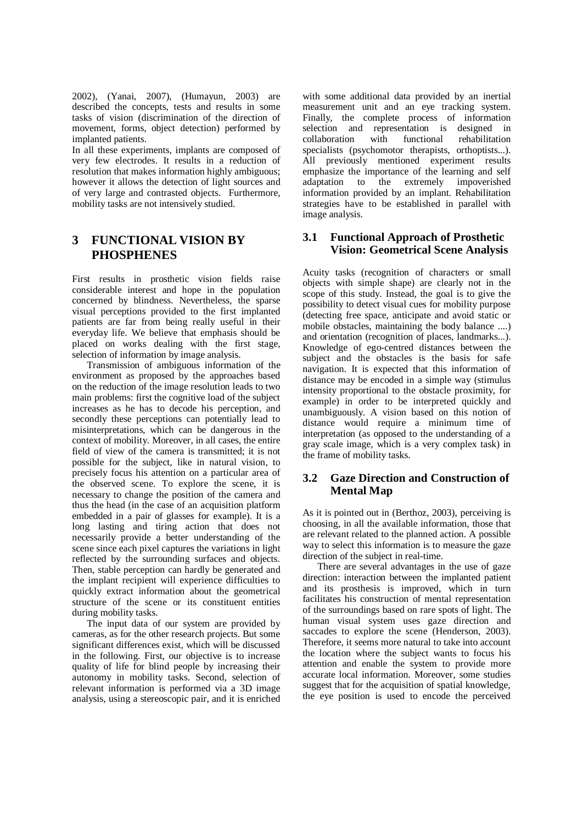2002), (Yanai, 2007), (Humayun, 2003) are described the concepts, tests and results in some tasks of vision (discrimination of the direction of movement, forms, object detection) performed by implanted patients.

In all these experiments, implants are composed of very few electrodes. It results in a reduction of resolution that makes information highly ambiguous; however it allows the detection of light sources and of very large and contrasted objects. Furthermore, mobility tasks are not intensively studied.

### **3 FUNCTIONAL VISION BY PHOSPHENES**

First results in prosthetic vision fields raise considerable interest and hope in the population concerned by blindness. Nevertheless, the sparse visual perceptions provided to the first implanted patients are far from being really useful in their everyday life. We believe that emphasis should be placed on works dealing with the first stage, selection of information by image analysis.

Transmission of ambiguous information of the environment as proposed by the approaches based on the reduction of the image resolution leads to two main problems: first the cognitive load of the subject increases as he has to decode his perception, and secondly these perceptions can potentially lead to misinterpretations, which can be dangerous in the context of mobility. Moreover, in all cases, the entire field of view of the camera is transmitted; it is not possible for the subject, like in natural vision, to precisely focus his attention on a particular area of the observed scene. To explore the scene, it is necessary to change the position of the camera and thus the head (in the case of an acquisition platform embedded in a pair of glasses for example). It is a long lasting and tiring action that does not necessarily provide a better understanding of the scene since each pixel captures the variations in light reflected by the surrounding surfaces and objects. Then, stable perception can hardly be generated and the implant recipient will experience difficulties to quickly extract information about the geometrical structure of the scene or its constituent entities during mobility tasks.

The input data of our system are provided by cameras, as for the other research projects. But some significant differences exist, which will be discussed in the following. First, our objective is to increase quality of life for blind people by increasing their autonomy in mobility tasks. Second, selection of relevant information is performed via a 3D image analysis, using a stereoscopic pair, and it is enriched with some additional data provided by an inertial measurement unit and an eye tracking system. Finally, the complete process of information selection and representation is designed in collaboration with functional rehabilitation specialists (psychomotor therapists, orthoptists...). All previously mentioned experiment results emphasize the importance of the learning and self<br>adaptation to the extremely impoverished adaptation to the extremely impoverished information provided by an implant. Rehabilitation strategies have to be established in parallel with image analysis.

#### **3.1 Functional Approach of Prosthetic Vision: Geometrical Scene Analysis**

Acuity tasks (recognition of characters or small objects with simple shape) are clearly not in the scope of this study. Instead, the goal is to give the possibility to detect visual cues for mobility purpose (detecting free space, anticipate and avoid static or mobile obstacles, maintaining the body balance ....) and orientation (recognition of places, landmarks...). Knowledge of ego-centred distances between the subject and the obstacles is the basis for safe navigation. It is expected that this information of distance may be encoded in a simple way (stimulus intensity proportional to the obstacle proximity, for example) in order to be interpreted quickly and unambiguously. A vision based on this notion of distance would require a minimum time of interpretation (as opposed to the understanding of a gray scale image, which is a very complex task) in the frame of mobility tasks.

#### **3.2 Gaze Direction and Construction of Mental Map**

As it is pointed out in (Berthoz, 2003), perceiving is choosing, in all the available information, those that are relevant related to the planned action. A possible way to select this information is to measure the gaze direction of the subject in real-time.

There are several advantages in the use of gaze direction: interaction between the implanted patient and its prosthesis is improved, which in turn facilitates his construction of mental representation of the surroundings based on rare spots of light. The human visual system uses gaze direction and saccades to explore the scene (Henderson, 2003). Therefore, it seems more natural to take into account the location where the subject wants to focus his attention and enable the system to provide more accurate local information. Moreover, some studies suggest that for the acquisition of spatial knowledge, the eye position is used to encode the perceived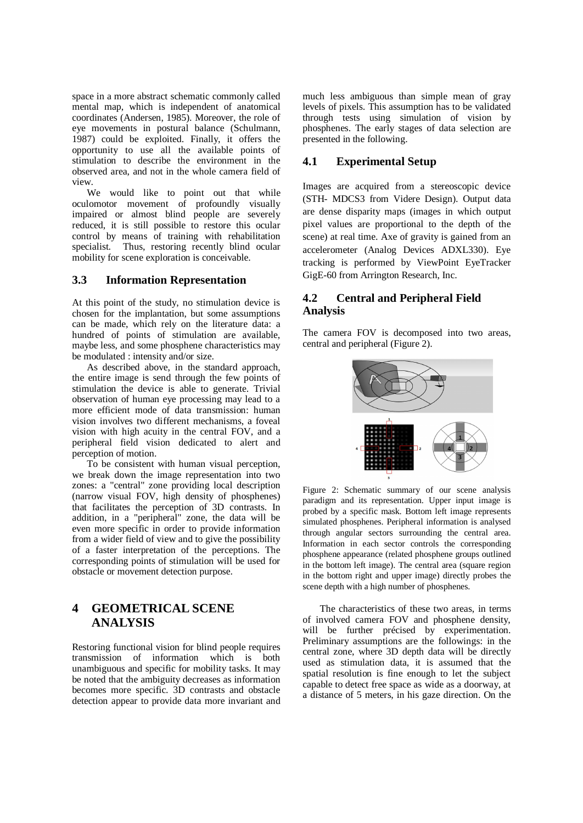space in a more abstract schematic commonly called mental map, which is independent of anatomical coordinates (Andersen, 1985). Moreover, the role of eye movements in postural balance (Schulmann, 1987) could be exploited. Finally, it offers the opportunity to use all the available points of stimulation to describe the environment in the observed area, and not in the whole camera field of view.

We would like to point out that while oculomotor movement of profoundly visually impaired or almost blind people are severely reduced, it is still possible to restore this ocular control by means of training with rehabilitation specialist. Thus, restoring recently blind ocular mobility for scene exploration is conceivable.

#### **3.3 Information Representation**

At this point of the study, no stimulation device is chosen for the implantation, but some assumptions can be made, which rely on the literature data: a hundred of points of stimulation are available, maybe less, and some phosphene characteristics may be modulated : intensity and/or size.

As described above, in the standard approach, the entire image is send through the few points of stimulation the device is able to generate. Trivial observation of human eye processing may lead to a more efficient mode of data transmission: human vision involves two different mechanisms, a foveal vision with high acuity in the central FOV, and a peripheral field vision dedicated to alert and perception of motion.

To be consistent with human visual perception, we break down the image representation into two zones: a "central" zone providing local description (narrow visual FOV, high density of phosphenes) that facilitates the perception of 3D contrasts. In addition, in a "peripheral" zone, the data will be even more specific in order to provide information from a wider field of view and to give the possibility of a faster interpretation of the perceptions. The corresponding points of stimulation will be used for obstacle or movement detection purpose.

### **4 GEOMETRICAL SCENE ANALYSIS**

Restoring functional vision for blind people requires transmission of information which is both unambiguous and specific for mobility tasks. It may be noted that the ambiguity decreases as information becomes more specific. 3D contrasts and obstacle detection appear to provide data more invariant and

much less ambiguous than simple mean of gray levels of pixels. This assumption has to be validated through tests using simulation of vision by phosphenes. The early stages of data selection are presented in the following.

#### **4.1 Experimental Setup**

Images are acquired from a stereoscopic device (STH- MDCS3 from Videre Design). Output data are dense disparity maps (images in which output pixel values are proportional to the depth of the scene) at real time. Axe of gravity is gained from an accelerometer (Analog Devices ADXL330). Eye tracking is performed by ViewPoint EyeTracker GigE-60 from Arrington Research, Inc.

#### **4.2 Central and Peripheral Field Analysis**

The camera FOV is decomposed into two areas, central and peripheral (Figure 2).



Figure 2: Schematic summary of our scene analysis paradigm and its representation. Upper input image is probed by a specific mask. Bottom left image represents simulated phosphenes. Peripheral information is analysed through angular sectors surrounding the central area. Information in each sector controls the corresponding phosphene appearance (related phosphene groups outlined in the bottom left image). The central area (square region in the bottom right and upper image) directly probes the scene depth with a high number of phosphenes.

The characteristics of these two areas, in terms of involved camera FOV and phosphene density, will be further précised by experimentation. Preliminary assumptions are the followings: in the central zone, where 3D depth data will be directly used as stimulation data, it is assumed that the spatial resolution is fine enough to let the subject capable to detect free space as wide as a doorway, at a distance of 5 meters, in his gaze direction. On the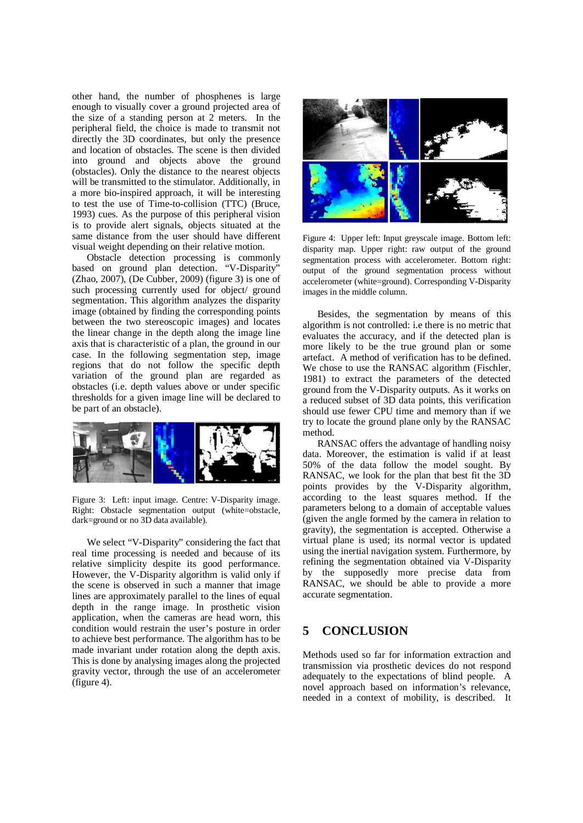other hand, the number of phosphenes is large enough to visually cover a ground projected area of the size of a standing person at 2 meters. In the peripheral field, the choice is made to transmit not directly the 3D coordinates, but only the presence and location of obstacles. The scene is then divided into ground and objects above the ground (obstacles). Only the distance to the nearest objects will be transmitted to the stimulator. Additionally, in a more bio-inspired approach, it will be interesting to test the use of Time-to-collision (TTC) (Bruce, 1993) cues. As the purpose of this peripheral vision is to provide alert signals, objects situated at the same distance from the user should have different visual weight depending on their relative motion.

Obstacle detection processing is commonly based on ground plan detection. "V-Disparity" (Zhao, 2007), (De Cubber, 2009) (figure 3) is one of such processing currently used for object/ ground segmentation. This algorithm analyzes the disparity image (obtained by finding the corresponding points between the two stereoscopic images) and locates the linear change in the depth along the image line axis that is characteristic of a plan, the ground in our case. In the following segmentation step, image regions that do not follow the specific depth variation of the ground plan are regarded as obstacles (i.e. depth values above or under specific thresholds for a given image line will be declared to be part of an obstacle).



Figure 3: Left: input image. Centre: V-Disparity image. Right: Obstacle segmentation output (white=obstacle, dark=ground or no 3D data available).

We select "V-Disparity" considering the fact that real time processing is needed and because of its relative simplicity despite its good performance. However, the V-Disparity algorithm is valid only if the scene is observed in such a manner that image lines are approximately parallel to the lines of equal depth in the range image. In prosthetic vision application, when the cameras are head worn, this condition would restrain the user's posture in order to achieve best performance. The algorithm has to be made invariant under rotation along the depth axis. This is done by analysing images along the projected gravity vector, through the use of an accelerometer (figure 4).



Figure 4: Upper left: Input greyscale image. Bottom left: disparity map. Upper right: raw output of the ground segmentation process with accelerometer. Bottom right: output of the ground segmentation process without accelerometer (white=ground). Corresponding V-Disparity images in the middle column.

Besides, the segmentation by means of this algorithm is not controlled: i.e there is no metric that evaluates the accuracy, and if the detected plan is more likely to be the true ground plan or some artefact. A method of verification has to be defined. We chose to use the RANSAC algorithm (Fischler, 1981) to extract the parameters of the detected ground from the V-Disparity outputs. As it works on a reduced subset of 3D data points, this verification should use fewer CPU time and memory than if we try to locate the ground plane only by the RANSAC method.

RANSAC offers the advantage of handling noisy data. Moreover, the estimation is valid if at least 50% of the data follow the model sought. By RANSAC, we look for the plan that best fit the 3D points provides by the V-Disparity algorithm, according to the least squares method. If the parameters belong to a domain of acceptable values (given the angle formed by the camera in relation to gravity), the segmentation is accepted. Otherwise a virtual plane is used; its normal vector is updated using the inertial navigation system. Furthermore, by refining the segmentation obtained via V-Disparity by the supposedly more precise data from RANSAC, we should be able to provide a more accurate segmentation.

#### **5 CONCLUSION**

Methods used so far for information extraction and transmission via prosthetic devices do not respond adequately to the expectations of blind people. A novel approach based on information's relevance, needed in a context of mobility, is described. It